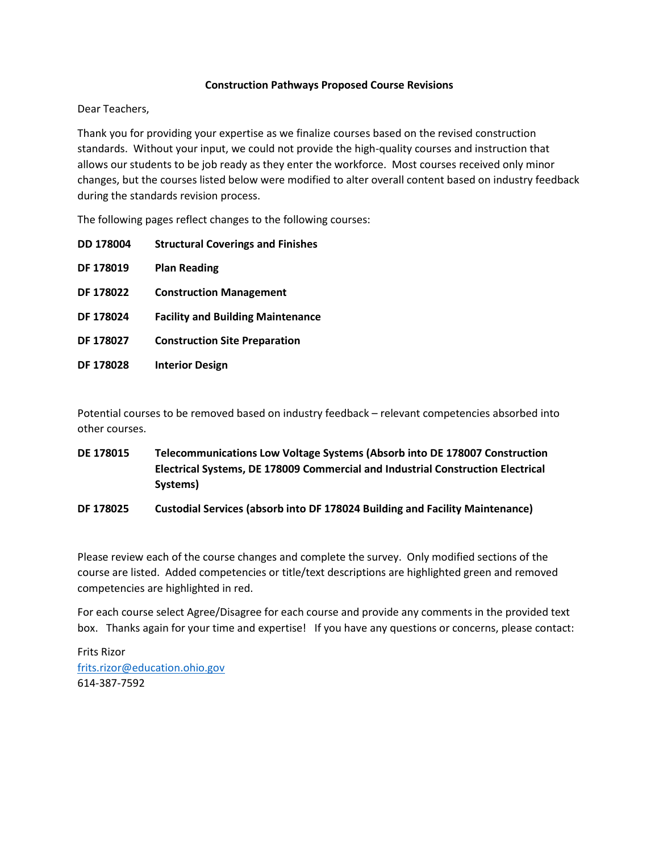### **Construction Pathways Proposed Course Revisions**

Dear Teachers,

Thank you for providing your expertise as we finalize courses based on the revised construction standards. Without your input, we could not provide the high-quality courses and instruction that allows our students to be job ready as they enter the workforce. Most courses received only minor changes, but the courses listed below were modified to alter overall content based on industry feedback during the standards revision process.

The following pages reflect changes to the following courses:

| <b>DD 178004</b> | <b>Structural Coverings and Finishes</b> |
|------------------|------------------------------------------|
| DF 178019        | <b>Plan Reading</b>                      |
| <b>DF 178022</b> | <b>Construction Management</b>           |
| DF 178024        | <b>Facility and Building Maintenance</b> |
| DF 178027        | <b>Construction Site Preparation</b>     |
| <b>DF 178028</b> | <b>Interior Design</b>                   |

Potential courses to be removed based on industry feedback – relevant competencies absorbed into other courses.

**DE 178015 Telecommunications Low Voltage Systems (Absorb into DE 178007 Construction Electrical Systems, DE 178009 Commercial and Industrial Construction Electrical Systems)**

## **DF 178025 Custodial Services (absorb into DF 178024 Building and Facility Maintenance)**

Please review each of the course changes and complete the survey. Only modified sections of the course are listed. Added competencies or title/text descriptions are highlighted green and removed competencies are highlighted in red.

For each course select Agree/Disagree for each course and provide any comments in the provided text box. Thanks again for your time and expertise! If you have any questions or concerns, please contact:

Frits Rizor [frits.rizor@education.ohio.gov](mailto:frits.rizor@education.ohio.gov) 614-387-7592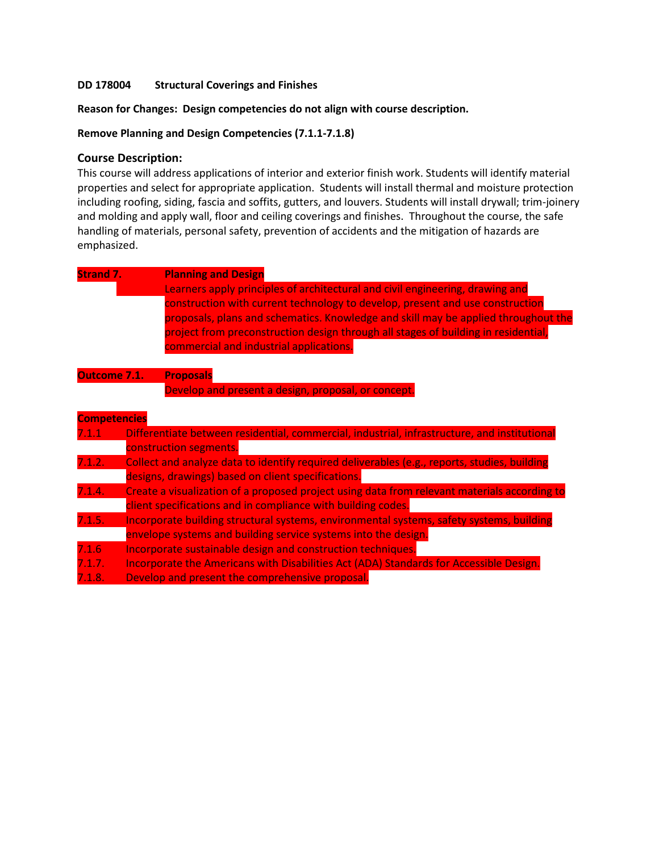### **DD 178004 Structural Coverings and Finishes**

**Reason for Changes: Design competencies do not align with course description.** 

**Remove Planning and Design Competencies (7.1.1-7.1.8)**

### **Course Description:**

This course will address applications of interior and exterior finish work. Students will identify material properties and select for appropriate application. Students will install thermal and moisture protection including roofing, siding, fascia and soffits, gutters, and louvers. Students will install drywall; trim-joinery and molding and apply wall, floor and ceiling coverings and finishes. Throughout the course, the safe handling of materials, personal safety, prevention of accidents and the mitigation of hazards are emphasized.

| <b>Strand 7.</b>    | <b>Planning and Design</b>                                                                   |
|---------------------|----------------------------------------------------------------------------------------------|
|                     | Learners apply principles of architectural and civil engineering, drawing and                |
|                     | construction with current technology to develop, present and use construction                |
|                     | proposals, plans and schematics. Knowledge and skill may be applied throughout the           |
|                     | project from preconstruction design through all stages of building in residential,           |
|                     | commercial and industrial applications.                                                      |
|                     |                                                                                              |
| Outcome 7.1.        | <b>Proposals</b>                                                                             |
|                     | Develop and present a design, proposal, or concept.                                          |
| <b>Competencies</b> |                                                                                              |
| 7.1.1               | Differentiate between residential, commercial, industrial, infrastructure, and institutional |
|                     | construction segments.                                                                       |
| 7.1.2.              | Collect and analyze data to identify required deliverables (e.g., reports, studies, building |
|                     | designs, drawings) based on client specifications.                                           |
| 7.1.4.              | Create a visualization of a proposed project using data from relevant materials according to |
|                     | client specifications and in compliance with building codes.                                 |
| 7.1.5.              | Incorporate building structural systems, environmental systems, safety systems, building     |
|                     | envelope systems and building service systems into the design.                               |
| 7.1.6               | Incorporate sustainable design and construction techniques.                                  |
| 7.1.7.              | Incorporate the Americans with Disabilities Act (ADA) Standards for Accessible Design.       |
| 7.1.8.              | Develop and present the comprehensive proposal.                                              |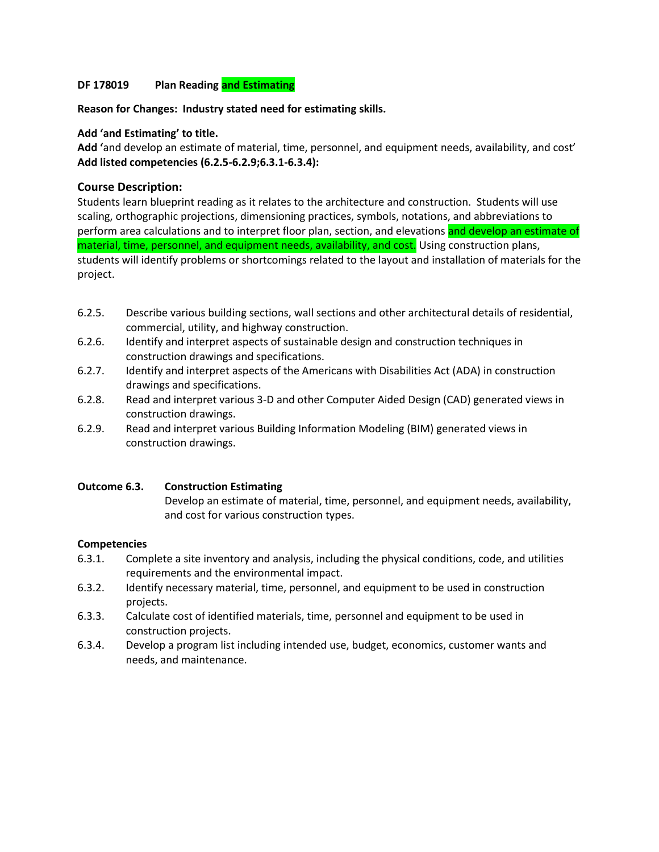## **DF 178019 Plan Reading and Estimating**

#### **Reason for Changes: Industry stated need for estimating skills.**

### **Add 'and Estimating' to title.**

**Add '**and develop an estimate of material, time, personnel, and equipment needs, availability, and cost' **Add listed competencies (6.2.5-6.2.9;6.3.1-6.3.4):**

### **Course Description:**

Students learn blueprint reading as it relates to the architecture and construction. Students will use scaling, orthographic projections, dimensioning practices, symbols, notations, and abbreviations to perform area calculations and to interpret floor plan, section, and elevations and develop an estimate of material, time, personnel, and equipment needs, availability, and cost. Using construction plans, students will identify problems or shortcomings related to the layout and installation of materials for the project.

- 6.2.5. Describe various building sections, wall sections and other architectural details of residential, commercial, utility, and highway construction.
- 6.2.6. Identify and interpret aspects of sustainable design and construction techniques in construction drawings and specifications.
- 6.2.7. Identify and interpret aspects of the Americans with Disabilities Act (ADA) in construction drawings and specifications.
- 6.2.8. Read and interpret various 3-D and other Computer Aided Design (CAD) generated views in construction drawings.
- 6.2.9. Read and interpret various Building Information Modeling (BIM) generated views in construction drawings.

#### **Outcome 6.3. Construction Estimating**

Develop an estimate of material, time, personnel, and equipment needs, availability, and cost for various construction types.

- 6.3.1. Complete a site inventory and analysis, including the physical conditions, code, and utilities requirements and the environmental impact.
- 6.3.2. Identify necessary material, time, personnel, and equipment to be used in construction projects.
- 6.3.3. Calculate cost of identified materials, time, personnel and equipment to be used in construction projects.
- 6.3.4. Develop a program list including intended use, budget, economics, customer wants and needs, and maintenance.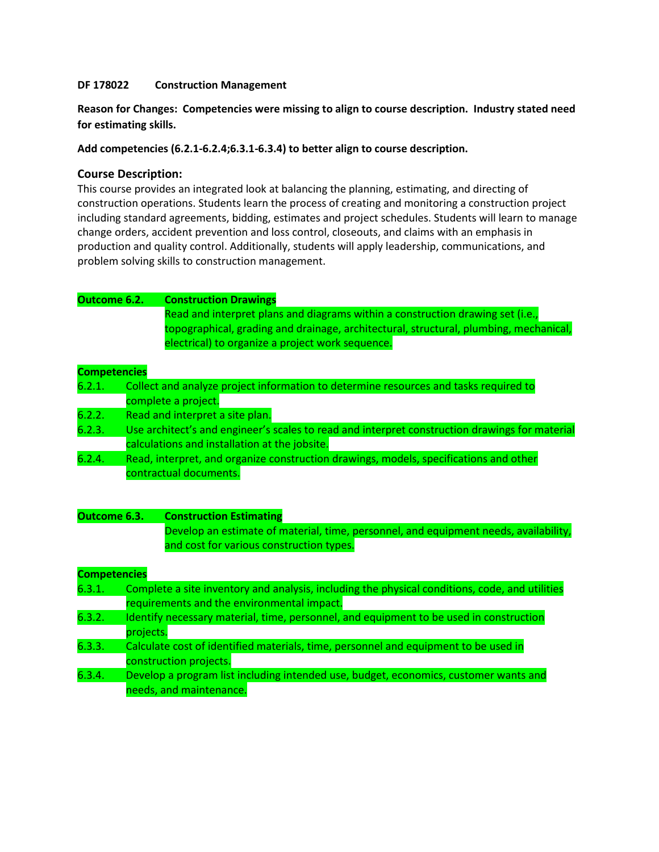### **DF 178022 Construction Management**

**Reason for Changes: Competencies were missing to align to course description. Industry stated need for estimating skills.** 

**Add competencies (6.2.1-6.2.4;6.3.1-6.3.4) to better align to course description.**

## **Course Description:**

This course provides an integrated look at balancing the planning, estimating, and directing of construction operations. Students learn the process of creating and monitoring a construction project including standard agreements, bidding, estimates and project schedules. Students will learn to manage change orders, accident prevention and loss control, closeouts, and claims with an emphasis in production and quality control. Additionally, students will apply leadership, communications, and problem solving skills to construction management.

# **Outcome 6.2. Construction Drawings**

Read and interpret plans and diagrams within a construction drawing set (i.e., topographical, grading and drainage, architectural, structural, plumbing, mechanical, electrical) to organize a project work sequence.

### **Competencies**

| ---------------- |                                                                                                |
|------------------|------------------------------------------------------------------------------------------------|
| 6.2.1.           | Collect and analyze project information to determine resources and tasks required to           |
|                  | complete a project.                                                                            |
| 6.2.2.           | Read and interpret a site plan.                                                                |
| 6.2.3.           | Use architect's and engineer's scales to read and interpret construction drawings for material |
|                  | calculations and installation at the jobsite.                                                  |
| 6.2.4.           | Read, interpret, and organize construction drawings, models, specifications and other          |
|                  | contractual documents.                                                                         |
|                  |                                                                                                |

## **Outcome 6.3. Construction Estimating**

Develop an estimate of material, time, personnel, and equipment needs, availability, and cost for various construction types.

- 6.3.1. Complete a site inventory and analysis, including the physical conditions, code, and utilities requirements and the environmental impact.
- 6.3.2. Identify necessary material, time, personnel, and equipment to be used in construction projects.
- 6.3.3. Calculate cost of identified materials, time, personnel and equipment to be used in construction projects.
- 6.3.4. Develop a program list including intended use, budget, economics, customer wants and needs, and maintenance.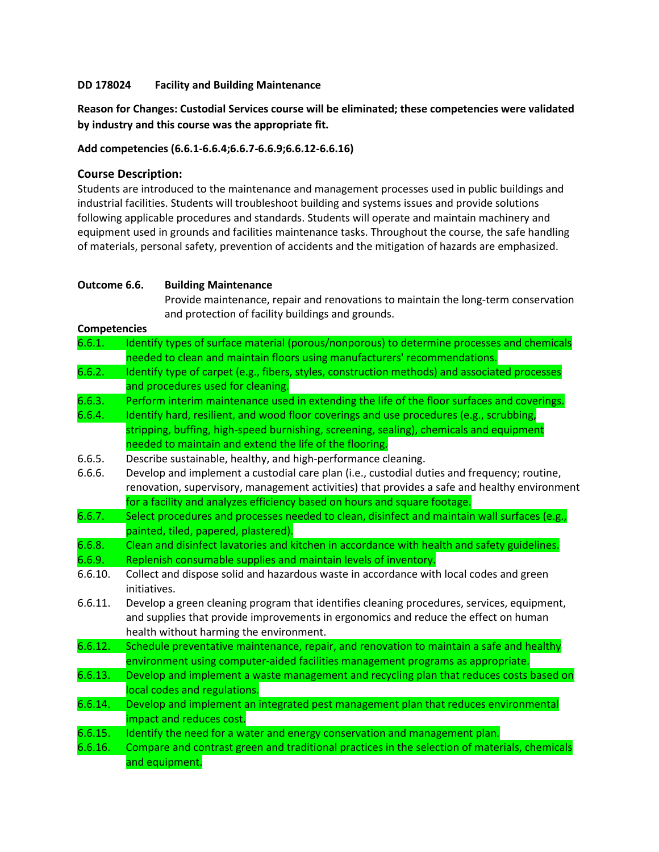### **DD 178024 Facility and Building Maintenance**

**Reason for Changes: Custodial Services course will be eliminated; these competencies were validated by industry and this course was the appropriate fit.**

### **Add competencies (6.6.1-6.6.4;6.6.7-6.6.9;6.6.12-6.6.16)**

## **Course Description:**

Students are introduced to the maintenance and management processes used in public buildings and industrial facilities. Students will troubleshoot building and systems issues and provide solutions following applicable procedures and standards. Students will operate and maintain machinery and equipment used in grounds and facilities maintenance tasks. Throughout the course, the safe handling of materials, personal safety, prevention of accidents and the mitigation of hazards are emphasized.

### **Outcome 6.6. Building Maintenance**

Provide maintenance, repair and renovations to maintain the long‐term conservation and protection of facility buildings and grounds.

- 6.6.1. Identify types of surface material (porous/nonporous) to determine processes and chemicals needed to clean and maintain floors using manufacturers' recommendations.
- 6.6.2. Identify type of carpet (e.g., fibers, styles, construction methods) and associated processes and procedures used for cleaning.
- 6.6.3. Perform interim maintenance used in extending the life of the floor surfaces and coverings.
- 6.6.4. Identify hard, resilient, and wood floor coverings and use procedures (e.g., scrubbing, stripping, buffing, high‐speed burnishing, screening, sealing), chemicals and equipment needed to maintain and extend the life of the flooring.
- 6.6.5. Describe sustainable, healthy, and high‐performance cleaning.
- 6.6.6. Develop and implement a custodial care plan (i.e., custodial duties and frequency; routine, renovation, supervisory, management activities) that provides a safe and healthy environment for a facility and analyzes efficiency based on hours and square footage.
- 6.6.7. Select procedures and processes needed to clean, disinfect and maintain wall surfaces (e.g., painted, tiled, papered, plastered).
- 6.6.8. Clean and disinfect lavatories and kitchen in accordance with health and safety guidelines.
- 6.6.9. Replenish consumable supplies and maintain levels of inventory.
- 6.6.10. Collect and dispose solid and hazardous waste in accordance with local codes and green initiatives.
- 6.6.11. Develop a green cleaning program that identifies cleaning procedures, services, equipment, and supplies that provide improvements in ergonomics and reduce the effect on human health without harming the environment.
- 6.6.12. Schedule preventative maintenance, repair, and renovation to maintain a safe and healthy environment using computer‐aided facilities management programs as appropriate.
- 6.6.13. Develop and implement a waste management and recycling plan that reduces costs based on local codes and regulations.
- 6.6.14. Develop and implement an integrated pest management plan that reduces environmental impact and reduces cost.
- 6.6.15. Identify the need for a water and energy conservation and management plan.
- 6.6.16. Compare and contrast green and traditional practices in the selection of materials, chemicals and equipment.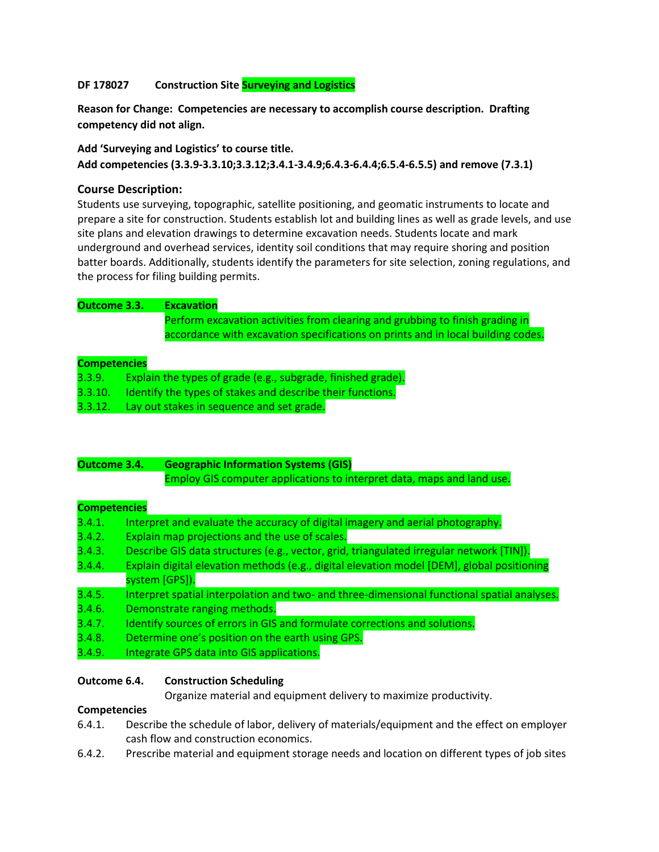# **DF 178027 Construction Site Surveying and Logistics**

**Reason for Change: Competencies are necessary to accomplish course description. Drafting competency did not align.**

## **Add 'Surveying and Logistics' to course title.**

**Add competencies (3.3.9-3.3.10;3.3.12;3.4.1-3.4.9;6.4.3-6.4.4;6.5.4-6.5.5) and remove (7.3.1)**

# **Course Description:**

Students use surveying, topographic, satellite positioning, and geomatic instruments to locate and prepare a site for construction. Students establish lot and building lines as well as grade levels, and use site plans and elevation drawings to determine excavation needs. Students locate and mark underground and overhead services, identity soil conditions that may require shoring and position batter boards. Additionally, students identify the parameters for site selection, zoning regulations, and the process for filing building permits.

| Outcome 3.3.        | <b>Excavation</b>                                                                |
|---------------------|----------------------------------------------------------------------------------|
|                     | Perform excavation activities from clearing and grubbing to finish grading in    |
|                     | accordance with excavation specifications on prints and in local building codes. |
|                     |                                                                                  |
| <b>Competencies</b> |                                                                                  |

### **Competencies**

| 3.3.9.  | Explain the types of grade (e.g., subgrade, finished grade). |  |
|---------|--------------------------------------------------------------|--|
| 3.3.10. | I Identify the types of stakes and describe their functions. |  |
| 3.3.12. | Lay out stakes in sequence and set grade.                    |  |

| Outcome 3.4. | <b>Geographic Information Systems (GIS)</b>                            |
|--------------|------------------------------------------------------------------------|
|              | Employ GIS computer applications to interpret data, maps and land use. |

## **Competencies**

| 3.4.1. | Interpret and evaluate the accuracy of digital imagery and aerial photography.              |
|--------|---------------------------------------------------------------------------------------------|
| 3.4.2. | Explain map projections and the use of scales.                                              |
| 3.4.3. | Describe GIS data structures (e.g., vector, grid, triangulated irregular network [TIN]).    |
| 3.4.4. | Explain digital elevation methods (e.g., digital elevation model [DEM], global positioning  |
|        | system [GPS]).                                                                              |
| 3.4.5. | Interpret spatial interpolation and two- and three-dimensional functional spatial analyses. |
| 3.4.6. | Demonstrate ranging methods.                                                                |
| 3.4.7. | Identify sources of errors in GIS and formulate corrections and solutions.                  |
| 3.4.8. | Determine one's position on the earth using GPS.                                            |
| 3.4.9. | Integrate GPS data into GIS applications.                                                   |
|        |                                                                                             |

## **Outcome 6.4. Construction Scheduling**

Organize material and equipment delivery to maximize productivity.

- 6.4.1. Describe the schedule of labor, delivery of materials/equipment and the effect on employer cash flow and construction economics.
- 6.4.2. Prescribe material and equipment storage needs and location on different types of job sites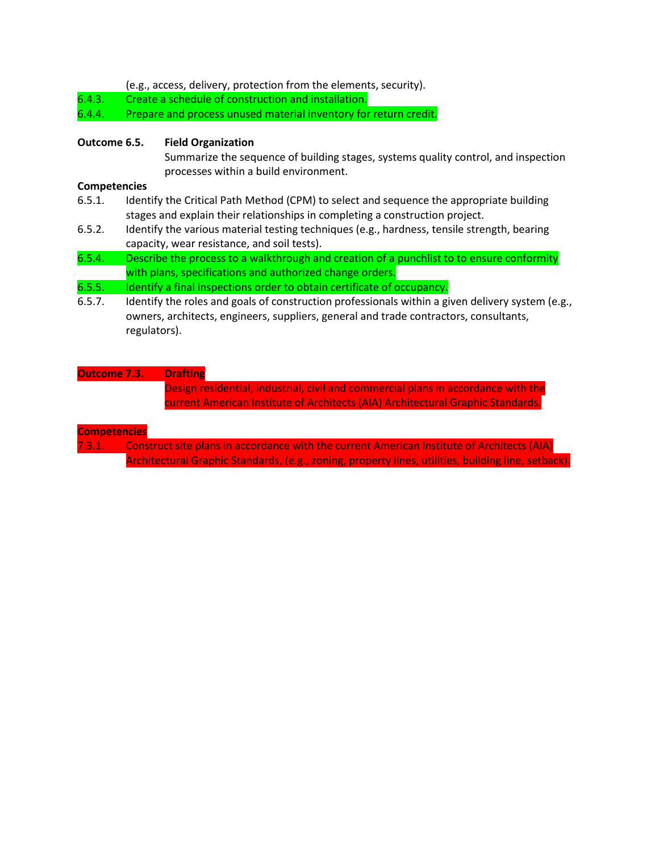(e.g., access, delivery, protection from the elements, security).

6.4.3. Create a schedule of construction and installation.

6.4.4. Prepare and process unused material inventory for return credit.

### **Outcome 6.5. Field Organization**

Summarize the sequence of building stages, systems quality control, and inspection processes within a build environment.

### **Competencies**

- 6.5.1. Identify the Critical Path Method (CPM) to select and sequence the appropriate building stages and explain their relationships in completing a construction project.
- 6.5.2. Identify the various material testing techniques (e.g., hardness, tensile strength, bearing capacity, wear resistance, and soil tests).
- 6.5.4. Describe the process to a walkthrough and creation of a punchlist to to ensure conformity with plans, specifications and authorized change orders.

## 6.5.5. Identify a final inspections order to obtain certificate of occupancy.

6.5.7. Identify the roles and goals of construction professionals within a given delivery system (e.g., owners, architects, engineers, suppliers, general and trade contractors, consultants, regulators).

# **Outcome 7.3. Drafting**

Design residential, industrial, civil and commercial plans in accordance with the current American Institute of Architects (AIA) Architectural Graphic Standards.

#### **Competencies**

7.3.1. Construct site plans in accordance with the current American Institute of Architects (AIA) Architectural Graphic Standards, (e.g., zoning, property lines, utilities, building line, setback).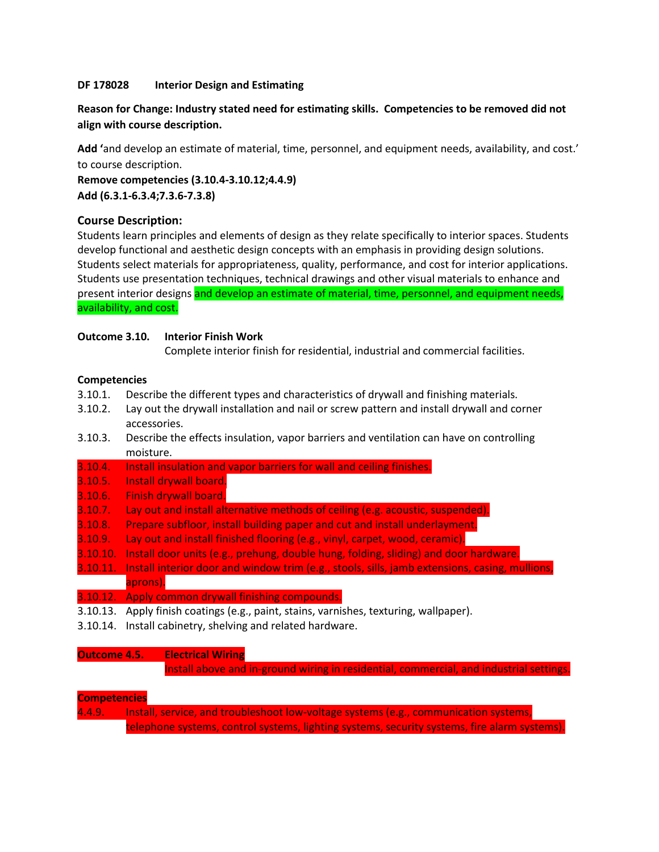## **DF 178028 Interior Design and Estimating**

# **Reason for Change: Industry stated need for estimating skills. Competencies to be removed did not align with course description.**

**Add '**and develop an estimate of material, time, personnel, and equipment needs, availability, and cost.' to course description.

**Remove competencies (3.10.4-3.10.12;4.4.9) Add (6.3.1-6.3.4;7.3.6-7.3.8)** 

## **Course Description:**

Students learn principles and elements of design as they relate specifically to interior spaces. Students develop functional and aesthetic design concepts with an emphasis in providing design solutions. Students select materials for appropriateness, quality, performance, and cost for interior applications. Students use presentation techniques, technical drawings and other visual materials to enhance and present interior designs and develop an estimate of material, time, personnel, and equipment needs, availability, and cost.

## **Outcome 3.10. Interior Finish Work**

Complete interior finish for residential, industrial and commercial facilities.

### **Competencies**

- 3.10.1. Describe the different types and characteristics of drywall and finishing materials.
- 3.10.2. Lay out the drywall installation and nail or screw pattern and install drywall and corner accessories.
- 3.10.3. Describe the effects insulation, vapor barriers and ventilation can have on controlling moisture.
- 3.10.4. Install insulation and vapor barriers for wall and ceiling finishes.
- 3.10.5. Install drywall board.
- 3.10.6. Finish drywall board.
- 3.10.7. Lay out and install alternative methods of ceiling (e.g. acoustic, suspended).
- 3.10.8. Prepare subfloor, install building paper and cut and install underlayment.
- 3.10.9. Lay out and install finished flooring (e.g., vinyl, carpet, wood, ceramic).
- 3.10.10. Install door units (e.g., prehung, double hung, folding, sliding) and door hardware.
- 3.10.11. Install interior door and window trim (e.g., stools, sills, jamb extensions, casing, mullions, aprons).
- 3.10.12. Apply common drywall finishing compounds.
- 3.10.13. Apply finish coatings (e.g., paint, stains, varnishes, texturing, wallpaper).
- 3.10.14. Install cabinetry, shelving and related hardware.

#### **Outcome 4.5. Electrical Wiring**

Install above and in-ground wiring in residential, commercial, and industrial settings.

#### **Competencies**

4.4.9. Install, service, and troubleshoot low‐voltage systems (e.g., communication systems, telephone systems, control systems, lighting systems, security systems, fire alarm systems).